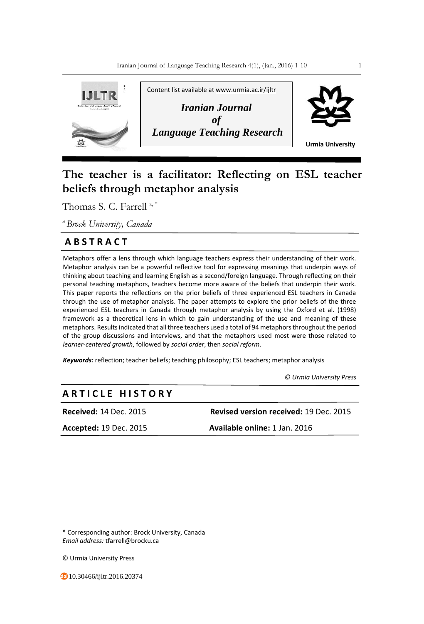

# **The teacher is a facilitator: Reflecting on ESL teacher beliefs through metaphor analysis**

Thomas S. C. Farrell<sup>a,\*</sup>

*<sup>a</sup>Brock University, Canada*

## **A B S T R A C T**

Metaphors offer a lens through which language teachers express their understanding of their work. Metaphor analysis can be a powerful reflective tool for expressing meanings that underpin ways of thinking about teaching and learning English as a second/foreign language. Through reflecting on their personal teaching metaphors, teachers become more aware of the beliefs that underpin their work. This paper reports the reflections on the prior beliefs of three experienced ESL teachers in Canada through the use of metaphor analysis. The paper attempts to explore the prior beliefs of the three experienced ESL teachers in Canada through metaphor analysis by using the Oxford et al. (1998) framework as a theoretical lens in which to gain understanding of the use and meaning of these metaphors. Results indicated that all three teachers used a total of 94 metaphors throughout the period of the group discussions and interviews, and that the metaphors used most were those related to *learner-centered growth*, followed by *social order*, then *social reform*.

*Keywords:* reflection; teacher beliefs; teaching philosophy; ESL teachers; metaphor analysis

 *© Urmia University Press*

## **A R T I C L E H I S T O R Y**

**Received:** 14 Dec. 2015 **Revised version received:** 19 Dec. 2015 **Accepted:** 19 Dec. 2015 **Available online:** 1 Jan. 2016

\* Corresponding author: Brock University, Canada *Email address:* tfarrell@brocku.ca

© Urmia University Press

10.30466/ijltr.2016.20374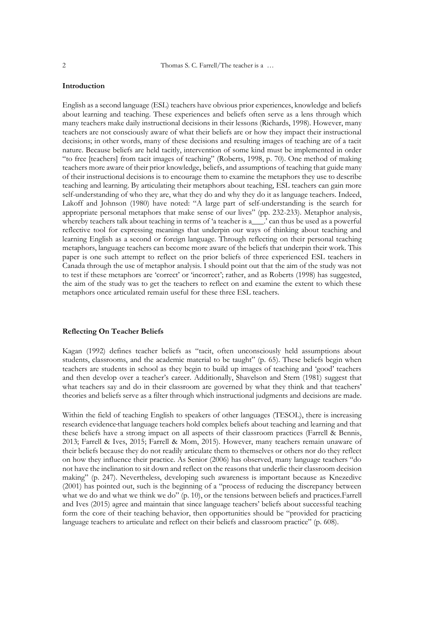### **Introduction**

English as a second language (ESL) teachers have obvious prior experiences, knowledge and beliefs about learning and teaching. These experiences and beliefs often serve as a lens through which many teachers make daily instructional decisions in their lessons (Richards, 1998). However, many teachers are not consciously aware of what their beliefs are or how they impact their instructional decisions; in other words, many of these decisions and resulting images of teaching are of a tacit nature. Because beliefs are held tacitly, intervention of some kind must be implemented in order "to free [teachers] from tacit images of teaching" (Roberts, 1998, p. 70). One method of making teachers more aware of their prior knowledge, beliefs, and assumptions of teaching that guide many of their instructional decisions is to encourage them to examine the metaphors they use to describe teaching and learning. By articulating their metaphors about teaching, ESL teachers can gain more self-understanding of who they are, what they do and why they do it as language teachers. Indeed, Lakoff and Johnson (1980) have noted: "A large part of self-understanding is the search for appropriate personal metaphors that make sense of our lives" (pp. 232-233). Metaphor analysis, whereby teachers talk about teaching in terms of 'a teacher is a\_\_\_.' can thus be used as a powerful reflective tool for expressing meanings that underpin our ways of thinking about teaching and learning English as a second or foreign language. Through reflecting on their personal teaching metaphors, language teachers can become more aware of the beliefs that underpin their work. This paper is one such attempt to reflect on the prior beliefs of three experienced ESL teachers in Canada through the use of metaphor analysis. I should point out that the aim of the study was not to test if these metaphors are 'correct' or 'incorrect'; rather, and as Roberts (1998) has suggested, the aim of the study was to get the teachers to reflect on and examine the extent to which these metaphors once articulated remain useful for these three ESL teachers.

#### **Reflecting On Teacher Beliefs**

Kagan (1992) defines teacher beliefs as "tacit, often unconsciously held assumptions about students, classrooms, and the academic material to be taught" (p. 65). These beliefs begin when teachers are students in school as they begin to build up images of teaching and 'good' teachers and then develop over a teacher's career. Additionally, Shavelson and Stern (1981) suggest that what teachers say and do in their classroom are governed by what they think and that teachers' theories and beliefs serve as a filter through which instructional judgments and decisions are made.

Within the field of teaching English to speakers of other languages (TESOL), there is increasing research evidence that language teachers hold complex beliefs about teaching and learning and that these beliefs have a strong impact on all aspects of their classroom practices (Farrell & Bennis, 2013; Farrell & Ives, 2015; Farrell & Mom, 2015). However, many teachers remain unaware of their beliefs because they do not readily articulate them to themselves or others nor do they reflect on how they influence their practice. As Senior (2006) has observed, many language teachers "do not have the inclination to sit down and reflect on the reasons that underlie their classroom decision making" (p. 247). Nevertheless, developing such awareness is important because as Knezedivc (2001) has pointed out, such is the beginning of a "process of reducing the discrepancy between what we do and what we think we do" (p. 10), or the tensions between beliefs and practices.Farrell and Ives (2015) agree and maintain that since language teachers' beliefs about successful teaching form the core of their teaching behavior, then opportunities should be "provided for practicing language teachers to articulate and reflect on their beliefs and classroom practice" (p. 608).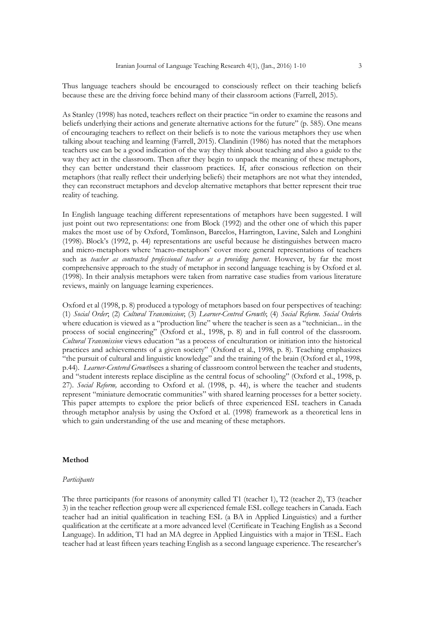Thus language teachers should be encouraged to consciously reflect on their teaching beliefs because these are the driving force behind many of their classroom actions (Farrell, 2015).

As Stanley (1998) has noted, teachers reflect on their practice "in order to examine the reasons and beliefs underlying their actions and generate alternative actions for the future" (p. 585). One means of encouraging teachers to reflect on their beliefs is to note the various metaphors they use when talking about teaching and learning (Farrell, 2015). Clandinin (1986) has noted that the metaphors teachers use can be a good indication of the way they think about teaching and also a guide to the way they act in the classroom. Then after they begin to unpack the meaning of these metaphors, they can better understand their classroom practices. If, after conscious reflection on their metaphors (that really reflect their underlying beliefs) their metaphors are not what they intended, they can reconstruct metaphors and develop alternative metaphors that better represent their true reality of teaching.

In English language teaching different representations of metaphors have been suggested. I will just point out two representations: one from Block (1992) and the other one of which this paper makes the most use of by Oxford, Tomlinson, Barcelos, Harrington, Lavine, Saleh and Longhini (1998). Block's (1992, p. 44) representations are useful because he distinguishes between macro and micro-metaphors where 'macro-metaphors' cover more general representations of teachers such as *teacher as contracted professional teacher as a providing parent*. However, by far the most comprehensive approach to the study of metaphor in second language teaching is by Oxford et al. (1998). In their analysis metaphors were taken from narrative case studies from various literature reviews, mainly on language learning experiences.

Oxford et al (1998, p. 8) produced a typology of metaphors based on four perspectives of teaching: (1) *Social Order*; (2) *Cultural Transmission*; (3) *Learner-Centred Growth*; (4) *Social Reform*. *Social Order*is where education is viewed as a "production line" where the teacher is seen as a "technician... in the process of social engineering" (Oxford et al., 1998, p. 8) and in full control of the classroom. *Cultural Transmission* views education "as a process of enculturation or initiation into the historical practices and achievements of a given society" (Oxford et al., 1998, p. 8). Teaching emphasizes "the pursuit of cultural and linguistic knowledge" and the training of the brain (Oxford et al., 1998, p.44). *Learner-Centered Growth*sees a sharing of classroom control between the teacher and students, and "student interests replace discipline as the central focus of schooling" (Oxford et al., 1998, p. 27). *Social Reform,* according to Oxford et al. (1998, p. 44), is where the teacher and students represent "miniature democratic communities" with shared learning processes for a better society. This paper attempts to explore the prior beliefs of three experienced ESL teachers in Canada through metaphor analysis by using the Oxford et al. (1998) framework as a theoretical lens in which to gain understanding of the use and meaning of these metaphors.

#### **Method**

#### *Participants*

The three participants (for reasons of anonymity called T1 (teacher 1), T2 (teacher 2), T3 (teacher 3) in the teacher reflection group were all experienced female ESL college teachers in Canada. Each teacher had an initial qualification in teaching ESL (a BA in Applied Linguistics) and a further qualification at the certificate at a more advanced level (Certificate in Teaching English as a Second Language). In addition, T1 had an MA degree in Applied Linguistics with a major in TESL. Each teacher had at least fifteen years teaching English as a second language experience. The researcher's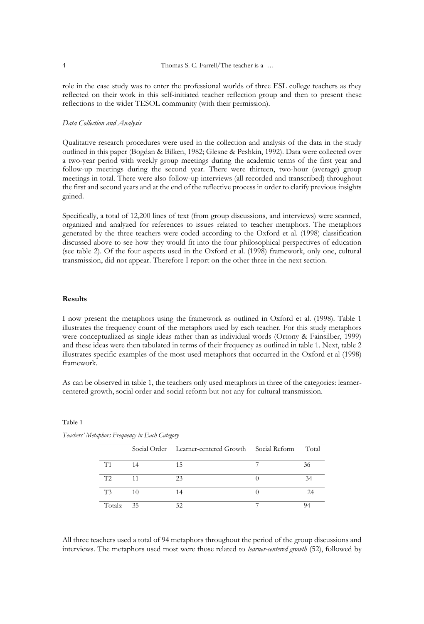role in the case study was to enter the professional worlds of three ESL college teachers as they reflected on their work in this self-initiated teacher reflection group and then to present these reflections to the wider TESOL community (with their permission).

#### *Data Collection and Analysis*

Qualitative research procedures were used in the collection and analysis of the data in the study outlined in this paper (Bogdan & Bilken, 1982; Glesne & Peshkin, 1992). Data were collected over a two-year period with weekly group meetings during the academic terms of the first year and follow-up meetings during the second year. There were thirteen, two-hour (average) group meetings in total. There were also follow-up interviews (all recorded and transcribed) throughout the first and second years and at the end of the reflective process in order to clarify previous insights gained.

Specifically, a total of 12,200 lines of text (from group discussions, and interviews) were scanned, organized and analyzed for references to issues related to teacher metaphors. The metaphors generated by the three teachers were coded according to the Oxford et al. (1998) classification discussed above to see how they would fit into the four philosophical perspectives of education (see table 2). Of the four aspects used in the Oxford et al. (1998) framework, only one, cultural transmission, did not appear. Therefore I report on the other three in the next section.

#### **Results**

I now present the metaphors using the framework as outlined in Oxford et al. (1998). Table 1 illustrates the frequency count of the metaphors used by each teacher. For this study metaphors were conceptualized as single ideas rather than as individual words (Ortony & Fainsilber, 1999) and these ideas were then tabulated in terms of their frequency as outlined in table 1. Next, table 2 illustrates specific examples of the most used metaphors that occurred in the Oxford et al (1998) framework.

As can be observed in table 1, the teachers only used metaphors in three of the categories: learnercentered growth, social order and social reform but not any for cultural transmission.

#### Table 1

|                |    | Social Order Learner-centered Growth Social Reform | Total |
|----------------|----|----------------------------------------------------|-------|
| T1             | 14 | 15                                                 | 36    |
| T2             | 11 | 23                                                 | 34    |
| T <sub>3</sub> | 10 | 14                                                 | 24    |
| Totals: 35     |    | 52                                                 |       |

*Teachers' Metaphors Frequency in Each Category*

All three teachers used a total of 94 metaphors throughout the period of the group discussions and interviews. The metaphors used most were those related to *learner-centered growth* (52), followed by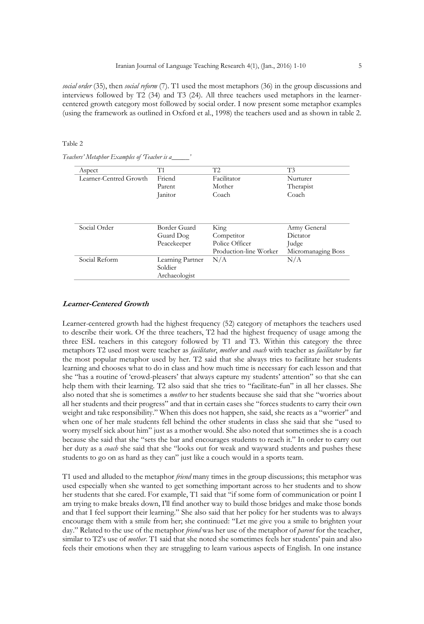*social order* (35), then *social reform* (7). T1 used the most metaphors (36) in the group discussions and interviews followed by T2 (34) and T3 (24). All three teachers used metaphors in the learnercentered growth category most followed by social order. I now present some metaphor examples (using the framework as outlined in Oxford et al., 1998) the teachers used and as shown in table 2.

#### Table 2

*Teachers' Metaphor Examples of 'Teacher is a\_\_\_\_\_'*

| Aspect                 | T1               | T2                     | T3                 |
|------------------------|------------------|------------------------|--------------------|
| Learner-Centred Growth | Friend           | Facilitator            | Nurturer           |
|                        | Parent           | Mother                 | Therapist          |
|                        | Janitor          | Coach                  | Coach              |
|                        |                  |                        |                    |
| Social Order           | Border Guard     | King                   | Army General       |
|                        | Guard Dog        | Competitor             | Dictator           |
|                        | Peacekeeper      | Police Officer         | Judge              |
|                        |                  | Production-line Worker | Micromanaging Boss |
| Social Reform          | Learning Partner | N/A                    | N/A                |
|                        | Soldier          |                        |                    |
|                        | Archaeologist    |                        |                    |

#### **Learner-Centered Growth**

Learner-centered growth had the highest frequency (52) category of metaphors the teachers used to describe their work. Of the three teachers, T2 had the highest frequency of usage among the three ESL teachers in this category followed by T1 and T3. Within this category the three metaphors T2 used most were teacher as *facilitator*, *mother* and *coach* with teacher as *facilitator* by far the most popular metaphor used by her. T2 said that she always tries to facilitate her students learning and chooses what to do in class and how much time is necessary for each lesson and that she "has a routine of 'crowd-pleasers' that always capture my students' attention" so that she can help them with their learning. T2 also said that she tries to "facilitate fun" in all her classes. She also noted that she is sometimes a *mother* to her students because she said that she "worries about all her students and their progress" and that in certain cases she "forces students to carry their own weight and take responsibility." When this does not happen, she said, she reacts as a "worrier" and when one of her male students fell behind the other students in class she said that she "used to worry myself sick about him" just as a mother would. She also noted that sometimes she is a coach because she said that she "sets the bar and encourages students to reach it." In order to carry out her duty as a *coach* she said that she "looks out for weak and wayward students and pushes these students to go on as hard as they can" just like a couch would in a sports team.

T1 used and alluded to the metaphor *friend* many times in the group discussions; this metaphor was used especially when she wanted to get something important across to her students and to show her students that she cared. For example, T1 said that "if some form of communication or point I am trying to make breaks down, I'll find another way to build those bridges and make those bonds and that I feel support their learning." She also said that her policy for her students was to always encourage them with a smile from her; she continued: "Let me give you a smile to brighten your day." Related to the use of the metaphor *friend* was her use of the metaphor of *parent* for the teacher, similar to T2's use of *mother*. T1 said that she noted she sometimes feels her students' pain and also feels their emotions when they are struggling to learn various aspects of English. In one instance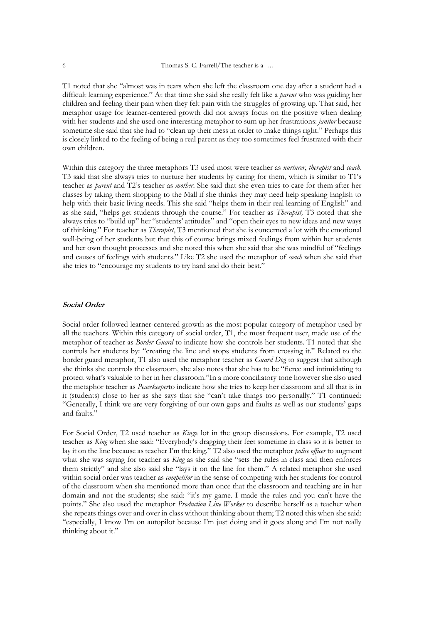T1 noted that she "almost was in tears when she left the classroom one day after a student had a difficult learning experience*.*" At that time she said she really felt like a *parent* who was guiding her children and feeling their pain when they felt pain with the struggles of growing up. That said, her metaphor usage for learner-centered growth did not always focus on the positive when dealing with her students and she used one interesting metaphor to sum up her frustrations: *janitor* because sometime she said that she had to "clean up their mess in order to make things right." Perhaps this is closely linked to the feeling of being a real parent as they too sometimes feel frustrated with their own children.

Within this category the three metaphors T3 used most were teacher as *nurturer*, *therapist* and *coach*. T3 said that she always tries to nurture her students by caring for them, which is similar to T1's teacher as *parent* and T2's teacher as *mother*. She said that she even tries to care for them after her classes by taking them shopping to the Mall if she thinks they may need help speaking English to help with their basic living needs. This she said "helps them in their real learning of English" and as she said, "helps get students through the course." For teacher as *Therapist,* T3 noted that she always tries to "build up" her "students' attitudes" and "open their eyes to new ideas and new ways of thinking." For teacher as *Therapist*, T3 mentioned that she is concerned a lot with the emotional well-being of her students but that this of course brings mixed feelings from within her students and her own thought processes and she noted this when she said that she was mindful of "feelings and causes of feelings with students." Like T2 she used the metaphor of *coach* when she said that she tries to "encourage my students to try hard and do their best."

## **Social Order**

Social order followed learner-centered growth as the most popular category of metaphor used by all the teachers. Within this category of social order, T1, the most frequent user, made use of the metaphor of teacher as *Border Guard* to indicate how she controls her students. T1 noted that she controls her students by: "creating the line and stops students from crossing it." Related to the border guard metaphor, T1 also used the metaphor teacher as *Guard Dog* to suggest that although she thinks she controls the classroom, she also notes that she has to be "fierce and intimidating to protect what's valuable to her in her classroom."In a more conciliatory tone however she also used the metaphor teacher as *Peacekeeper*to indicate how she tries to keep her classroom and all that is in it (students) close to her as she says that she "can't take things too personally." T1 continued: "Generally, I think we are very forgiving of our own gaps and faults as well as our students' gaps and faults."

For Social Order, T2 used teacher as *King*a lot in the group discussions. For example, T2 used teacher as *King* when she said: "Everybody's dragging their feet sometime in class so it is better to lay it on the line because as teacher I'm the king." T2 also used the metaphor *police officer* to augment what she was saying for teacher as *King* as she said she "sets the rules in class and then enforces them strictly" and she also said she "lays it on the line for them." A related metaphor she used within social order was teacher as *competitor* in the sense of competing with her students for control of the classroom when she mentioned more than once that the classroom and teaching are in her domain and not the students; she said: "it's my game. I made the rules and you can't have the points." She also used the metaphor *Production Line Worker* to describe herself as a teacher when she repeats things over and over in class without thinking about them; T2 noted this when she said: "especially, I know I'm on autopilot because I'm just doing and it goes along and I'm not really thinking about it."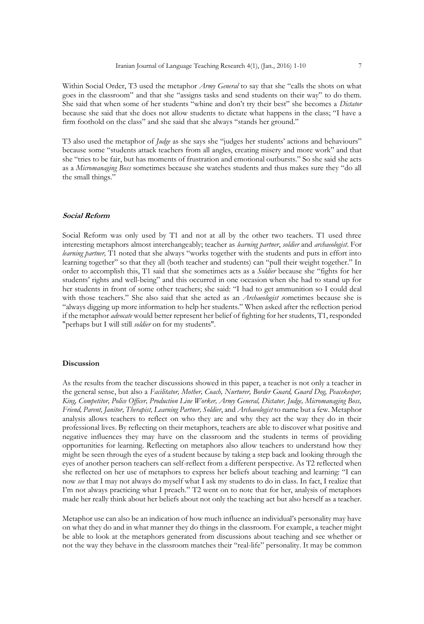Within Social Order, T3 used the metaphor *Army General* to say that she "calls the shots on what goes in the classroom" and that she "assigns tasks and send students on their way" to do them. She said that when some of her students "whine and don't try their best" she becomes a *Dictator* because she said that she does not allow students to dictate what happens in the class; "I have a firm foothold on the class" and she said that she always "stands her ground."

T3 also used the metaphor of *Judge* as she says she "judges her students' actions and behaviours" because some "students attack teachers from all angles, creating misery and more work" and that she "tries to be fair, but has moments of frustration and emotional outbursts." So she said she acts as a *Micromanaging Boss* sometimes because she watches students and thus makes sure they "do all the small things."

#### **Social Reform**

Social Reform was only used by T1 and not at all by the other two teachers. T1 used three interesting metaphors almost interchangeably; teacher as *learning partner*, *soldier* and *archaeologist*. For *learning partner,* T1 noted that she always "works together with the students and puts in effort into learning together" so that they all (both teacher and students) can "pull their weight together." In order to accomplish this, T1 said that she sometimes acts as a *Soldier* because she "fights for her students' rights and well-being" and this occurred in one occasion when she had to stand up for her students in front of some other teachers; she said: "I had to get ammunition so I could deal with those teachers." She also said that she acted as an *Archaeologist s*ometimes because she is "always digging up more information to help her students." When asked after the reflection period if the metaphor *advocate* would better represent her belief of fighting for her students, T1, responded "perhaps but I will still *soldier* on for my students".

#### **Discussion**

As the results from the teacher discussions showed in this paper, a teacher is not only a teacher in the general sense, but also a *Facilitator, Mother, Coach, Nurturer, Border Guard, Guard Dog, Peacekeeper, King, Competitor, Police Officer, Production Line Worker, Army General, Dictator, Judge, Micromanaging Boss, Friend, Parent, Janitor, Therapist, Learning Partner, Soldier*, and *Archaeologist* to name but a few. Metaphor analysis allows teachers to reflect on who they are and why they act the way they do in their professional lives. By reflecting on their metaphors, teachers are able to discover what positive and negative influences they may have on the classroom and the students in terms of providing opportunities for learning. Reflecting on metaphors also allow teachers to understand how they might be seen through the eyes of a student because by taking a step back and looking through the eyes of another person teachers can self-reflect from a different perspective. As T2 reflected when she reflected on her use of metaphors to express her beliefs about teaching and learning: "I can now *see* that I may not always do myself what I ask my students to do in class. In fact, I realize that I'm not always practicing what I preach." T2 went on to note that for her, analysis of metaphors made her really think about her beliefs about not only the teaching act but also herself as a teacher.

Metaphor use can also be an indication of how much influence an individual's personality may have on what they do and in what manner they do things in the classroom. For example, a teacher might be able to look at the metaphors generated from discussions about teaching and see whether or not the way they behave in the classroom matches their "real-life" personality. It may be common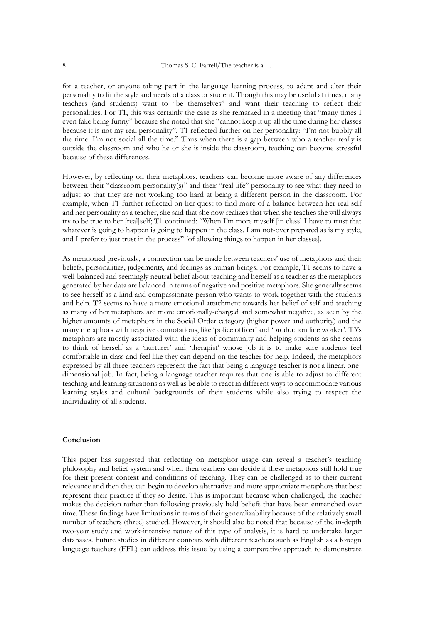for a teacher, or anyone taking part in the language learning process, to adapt and alter their personality to fit the style and needs of a class or student. Though this may be useful at times, many teachers (and students) want to "be themselves" and want their teaching to reflect their personalities. For T1, this was certainly the case as she remarked in a meeting that "many times I even fake being funny" because she noted that she "cannot keep it up all the time during her classes because it is not my real personality". T1 reflected further on her personality: "I'm not bubbly all the time. I'm not social all the time." Thus when there is a gap between who a teacher really is outside the classroom and who he or she is inside the classroom, teaching can become stressful because of these differences.

However, by reflecting on their metaphors, teachers can become more aware of any differences between their "classroom personality(s)" and their "real-life" personality to see what they need to adjust so that they are not working too hard at being a different person in the classroom. For example, when T1 further reflected on her quest to find more of a balance between her real self and her personality as a teacher, she said that she now realizes that when she teaches she will always try to be true to her [real]self; T1 continued: "When I'm more myself [in class] I have to trust that whatever is going to happen is going to happen in the class. I am not-over prepared as is my style, and I prefer to just trust in the process" [of allowing things to happen in her classes].

As mentioned previously, a connection can be made between teachers' use of metaphors and their beliefs, personalities, judgements, and feelings as human beings. For example, T1 seems to have a well-balanced and seemingly neutral belief about teaching and herself as a teacher as the metaphors generated by her data are balanced in terms of negative and positive metaphors. She generally seems to see herself as a kind and compassionate person who wants to work together with the students and help. T2 seems to have a more emotional attachment towards her belief of self and teaching as many of her metaphors are more emotionally-charged and somewhat negative, as seen by the higher amounts of metaphors in the Social Order category (higher power and authority) and the many metaphors with negative connotations, like 'police officer' and 'production line worker'. T3's metaphors are mostly associated with the ideas of community and helping students as she seems to think of herself as a 'nurturer' and 'therapist' whose job it is to make sure students feel comfortable in class and feel like they can depend on the teacher for help. Indeed, the metaphors expressed by all three teachers represent the fact that being a language teacher is not a linear, onedimensional job. In fact, being a language teacher requires that one is able to adjust to different teaching and learning situations as well as be able to react in different ways to accommodate various learning styles and cultural backgrounds of their students while also trying to respect the individuality of all students.

#### **Conclusion**

This paper has suggested that reflecting on metaphor usage can reveal a teacher's teaching philosophy and belief system and when then teachers can decide if these metaphors still hold true for their present context and conditions of teaching. They can be challenged as to their current relevance and then they can begin to develop alternative and more appropriate metaphors that best represent their practice if they so desire. This is important because when challenged, the teacher makes the decision rather than following previously held beliefs that have been entrenched over time. These findings have limitations in terms of their generalizability because of the relatively small number of teachers (three) studied. However, it should also be noted that because of the in-depth two-year study and work-intensive nature of this type of analysis, it is hard to undertake larger databases. Future studies in different contexts with different teachers such as English as a foreign language teachers (EFL) can address this issue by using a comparative approach to demonstrate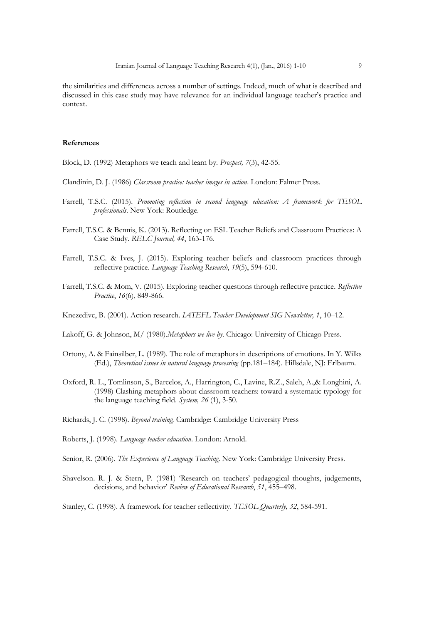the similarities and differences across a number of settings. Indeed, much of what is described and discussed in this case study may have relevance for an individual language teacher's practice and context.

### **References**

Block, D. (1992) Metaphors we teach and learn by. *Prospect, 7*(3), 42-55.

- Clandinin, D. J. (1986) *Classroom practice: teacher images in action*. London: Falmer Press.
- Farrell, T.S.C. (2015). *Promoting reflection in second language education: A framework for TESOL professionals*. New York: Routledge.
- Farrell, T.S.C. & Bennis, K. (2013). Reflecting on ESL Teacher Beliefs and Classroom Practices: A Case Study. *RELC Journal, 44*, 163-176.
- Farrell, T.S.C. & Ives, J. (2015). Exploring teacher beliefs and classroom practices through reflective practice. *Language Teaching Research*, *19*(5), 594-610.
- Farrell, T.S.C. & Mom, V. (2015). Exploring teacher questions through reflective practice. *Reflective Practice*, *16*(6), 849-866.
- Knezedivc, B. (2001). Action research. *IATEFL Teacher Development SIG Newsletter, 1*, 10–12.
- Lakoff, G. & Johnson, M/ (1980).*Metaphors we live by*. Chicago: University of Chicago Press.
- Ortony, A. & Fainsilber, L. (1989). The role of metaphors in descriptions of emotions. In Y. Wilks (Ed*.*), *Theoretical issues in natural language processing* (pp.181–184). Hillsdale, NJ: Erlbaum.
- Oxford, R. L., Tomlinson, S., Barcelos, A., Harrington, C., Lavine, R.Z., Saleh, A.,& Longhini, A. (1998) Clashing metaphors about classroom teachers: toward a systematic typology for the language teaching field. *System, 26* (1), 3-50.
- Richards, J. C. (1998). *Beyond training.* Cambridge: Cambridge University Press
- Roberts, J. (1998). *Language teacher education*. London: Arnold.
- Senior, R. (2006). *The Experience of Language Teaching*. New York: Cambridge University Press.
- Shavelson. R. J. & Stern, P. (1981) 'Research on teachers' pedagogical thoughts, judgements, decisions, and behavior' *Review of Educational Research*, *51*, 455–498.

Stanley, C. (1998). A framework for teacher reflectivity. *TESOL Quarterly, 32*, 584-591.